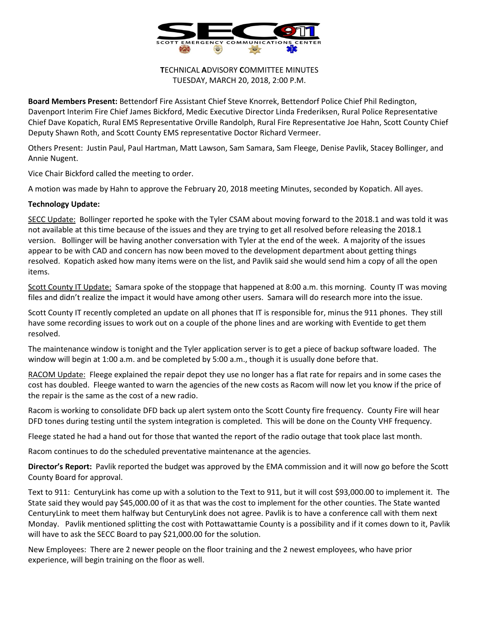

**T**ECHNICAL **A**DVISORY **C**OMMITTEE MINUTES TUESDAY, MARCH 20, 2018, 2:00 P.M.

**Board Members Present:** Bettendorf Fire Assistant Chief Steve Knorrek, Bettendorf Police Chief Phil Redington, Davenport Interim Fire Chief James Bickford, Medic Executive Director Linda Frederiksen, Rural Police Representative Chief Dave Kopatich, Rural EMS Representative Orville Randolph, Rural Fire Representative Joe Hahn, Scott County Chief Deputy Shawn Roth, and Scott County EMS representative Doctor Richard Vermeer.

Others Present: Justin Paul, Paul Hartman, Matt Lawson, Sam Samara, Sam Fleege, Denise Pavlik, Stacey Bollinger, and Annie Nugent.

Vice Chair Bickford called the meeting to order.

A motion was made by Hahn to approve the February 20, 2018 meeting Minutes, seconded by Kopatich. All ayes.

## **Technology Update:**

SECC Update: Bollinger reported he spoke with the Tyler CSAM about moving forward to the 2018.1 and was told it was not available at this time because of the issues and they are trying to get all resolved before releasing the 2018.1 version. Bollinger will be having another conversation with Tyler at the end of the week. A majority of the issues appear to be with CAD and concern has now been moved to the development department about getting things resolved. Kopatich asked how many items were on the list, and Pavlik said she would send him a copy of all the open items.

Scott County IT Update: Samara spoke of the stoppage that happened at 8:00 a.m. this morning. County IT was moving files and didn't realize the impact it would have among other users. Samara will do research more into the issue.

Scott County IT recently completed an update on all phones that IT is responsible for, minus the 911 phones. They still have some recording issues to work out on a couple of the phone lines and are working with Eventide to get them resolved.

The maintenance window is tonight and the Tyler application server is to get a piece of backup software loaded. The window will begin at 1:00 a.m. and be completed by 5:00 a.m., though it is usually done before that.

RACOM Update: Fleege explained the repair depot they use no longer has a flat rate for repairs and in some cases the cost has doubled. Fleege wanted to warn the agencies of the new costs as Racom will now let you know if the price of the repair is the same as the cost of a new radio.

Racom is working to consolidate DFD back up alert system onto the Scott County fire frequency. County Fire will hear DFD tones during testing until the system integration is completed. This will be done on the County VHF frequency.

Fleege stated he had a hand out for those that wanted the report of the radio outage that took place last month.

Racom continues to do the scheduled preventative maintenance at the agencies.

**Director's Report:** Pavlik reported the budget was approved by the EMA commission and it will now go before the Scott County Board for approval.

Text to 911: CenturyLink has come up with a solution to the Text to 911, but it will cost \$93,000.00 to implement it. The State said they would pay \$45,000.00 of it as that was the cost to implement for the other counties. The State wanted CenturyLink to meet them halfway but CenturyLink does not agree. Pavlik is to have a conference call with them next Monday. Pavlik mentioned splitting the cost with Pottawattamie County is a possibility and if it comes down to it, Pavlik will have to ask the SECC Board to pay \$21,000.00 for the solution.

New Employees: There are 2 newer people on the floor training and the 2 newest employees, who have prior experience, will begin training on the floor as well.